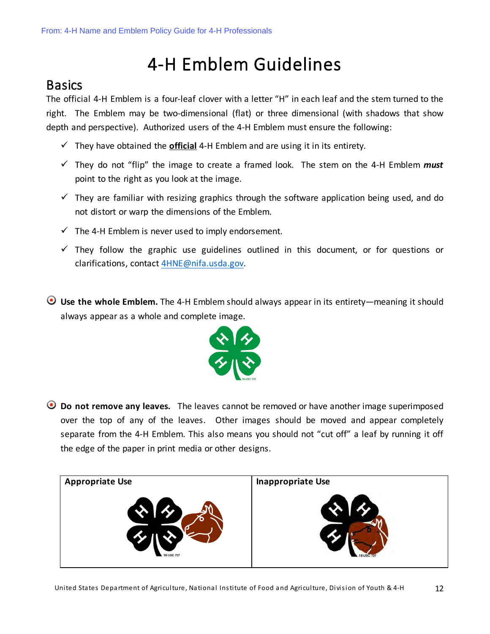## 4-H Emblem Guidelines

## **Basics**

The official 4-H Emblem is a four-leaf clover with a letter "H" in each leaf and the stem turned to the right. The Emblem may be two-dimensional (flat) or three dimensional (with shadows that show depth and perspective). Authorized users of the 4-H Emblem must ensure the following:

- $\checkmark$  They have obtained the **official** 4-H Emblem and are using it in its entirety.
- $\checkmark$  They do not "flip" the image to create a framed look. The stem on the 4-H Emblem *must* point to the right as you look at the image.
- $\checkmark$  They are familiar with resizing graphics through the software application being used, and do not distort or warp the dimensions of the Emblem.
- $\checkmark$  The 4-H Emblem is never used to imply endorsement.
- $\checkmark$  They follow the graphic use guidelines outlined in this document, or for questions or clarifications, contact 4HNE@nifa.usda.gov.
- **Use the whole Emblem.** The 4-H Emblem should always appear in its entirety—meaning it should always appear as a whole and complete image.



**Do not remove any leaves.** The leaves cannot be removed or have another image superimposed over the top of any of the leaves. Other images should be moved and appear completely separate from the 4-H Emblem. This also means you should not "cut off" a leaf by running it off the edge of the paper in print media or other designs.

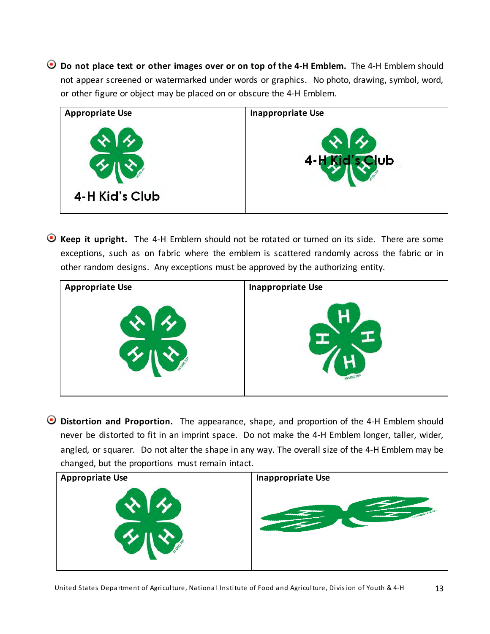**Do not place text or other images over or on top of the 4-H Emblem.** The 4-H Emblem should not appear screened or watermarked under words or graphics. No photo, drawing, symbol, word, or other figure or object may be placed on or obscure the 4-H Emblem.



**Keep it upright.** The 4-H Emblem should not be rotated or turned on its side. There are some exceptions, such as on fabric where the emblem is scattered randomly across the fabric or in other random designs. Any exceptions must be approved by the authorizing entity.



**Distortion and Proportion.** The appearance, shape, and proportion of the 4-H Emblem should never be distorted to fit in an imprint space. Do not make the 4-H Emblem longer, taller, wider, angled, or squarer. Do not alter the shape in any way. The overall size of the 4-H Emblem may be changed, but the proportions must remain intact.

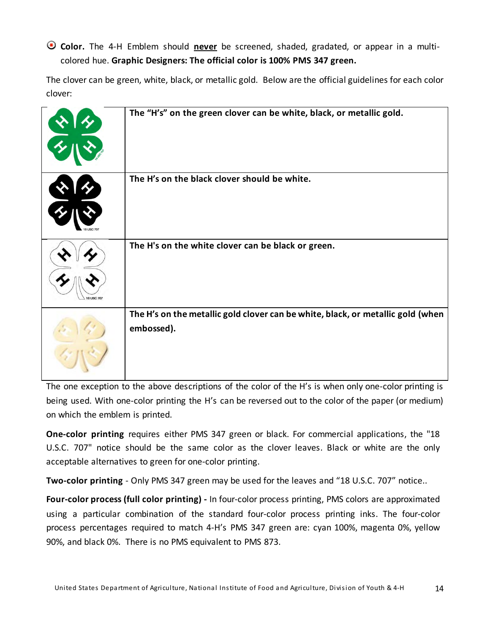**Color.** The 4-H Emblem should **never** be screened, shaded, gradated, or appear in a multicolored hue. **Graphic Designers: The official color is 100% PMS 347 green.**

The clover can be green, white, black, or metallic gold. Below are the official guidelines for each color clover:

| The "H's" on the green clover can be white, black, or metallic gold.                          |
|-----------------------------------------------------------------------------------------------|
| The H's on the black clover should be white.                                                  |
| The H's on the white clover can be black or green.                                            |
| The H's on the metallic gold clover can be white, black, or metallic gold (when<br>embossed). |

The one exception to the above descriptions of the color of the H's is when only one-color printing is being used. With one-color printing the H's can be reversed out to the color of the paper (or medium) on which the emblem is printed.

**One-color printing** requires either PMS 347 green or black. For commercial applications, the "18 U.S.C. 707" notice should be the same color as the clover leaves. Black or white are the only acceptable alternatives to green for one-color printing.

**Two-color printing** - Only PMS 347 green may be used for the leaves and "18 U.S.C. 707" notice..

**Four-color process (full color printing) -** In four-color process printing, PMS colors are approximated using a particular combination of the standard four-color process printing inks. The four-color process percentages required to match 4-H's PMS 347 green are: cyan 100%, magenta 0%, yellow 90%, and black 0%. There is no PMS equivalent to PMS 873.